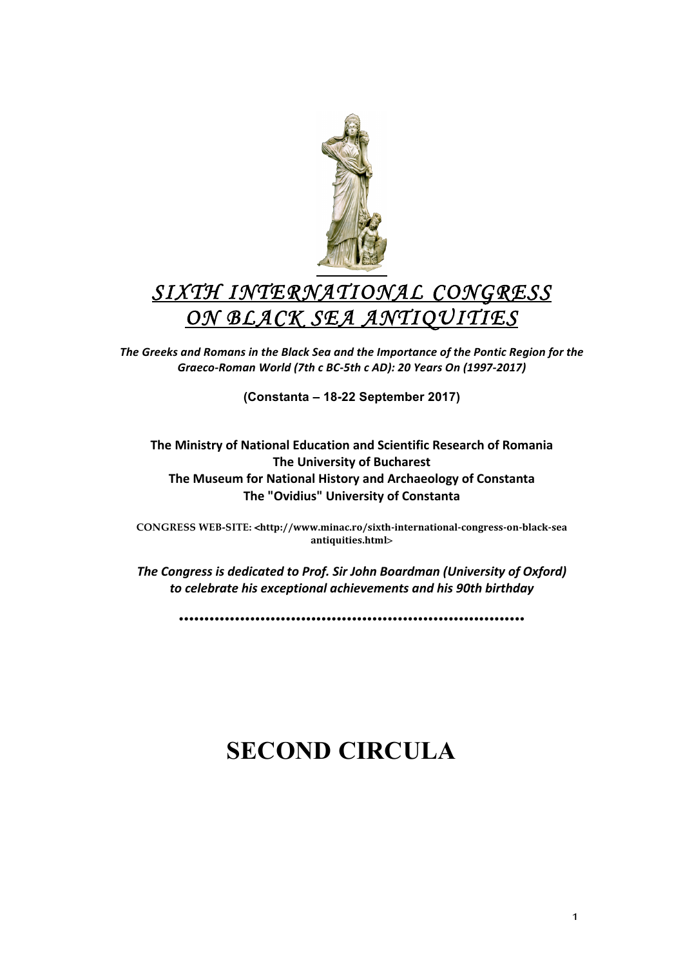

## *SIXTH INTERNATIONAL CONGRESS ON BLACK SEA ANTIQUITIES*

The Greeks and Romans in the Black Sea and the Importance of the Pontic Region for the *Graeco:Roman\$World\$(7th\$c\$BC:5th\$c\$AD):\$20\$Years\$On\$(1997:2017)*

**(Constanta – 18-22 September 2017)**

## **The Ministry of National Education and Scientific Research of Romania The University of Bucharest The Museum for National History and Archaeology of Constanta The "Ovidius" University of Constanta**

**CONGRESS WEB-SITE: <http://www.minac.ro/sixth-international-congress-on-black-sea antiquities.html**>

The Congress is dedicated to Prof. Sir John Boardman (University of Oxford) to celebrate his exceptional achievements and his 90th birthday

**••••••••••••••••••••••••••••••••••••••••••••••••••••••••••••••••••••**

# **SECOND CIRCULA**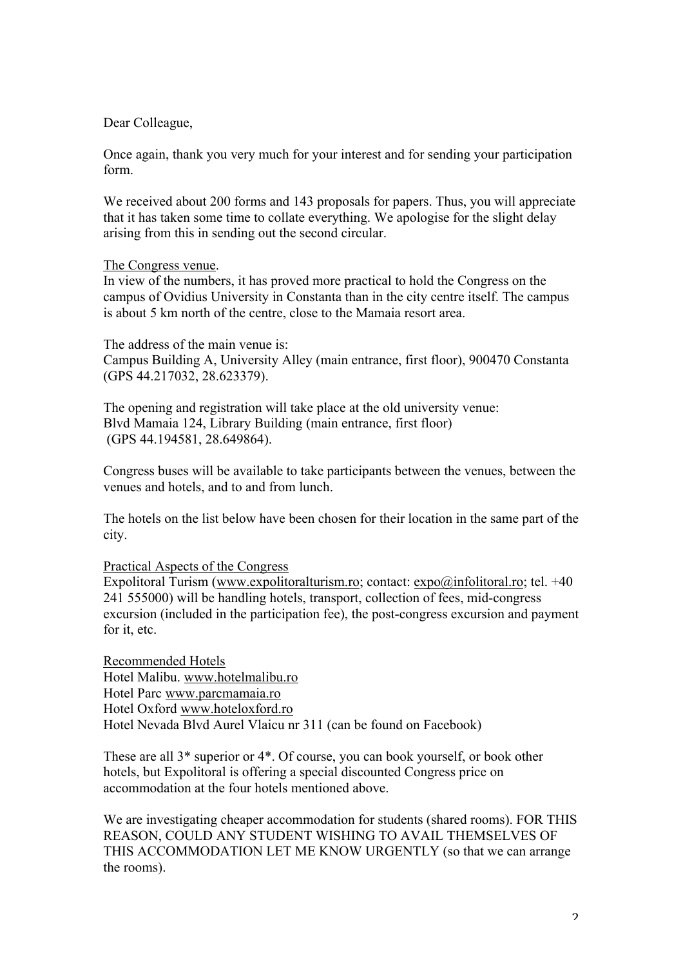Dear Colleague,

Once again, thank you very much for your interest and for sending your participation form.

We received about 200 forms and 143 proposals for papers. Thus, you will appreciate that it has taken some time to collate everything. We apologise for the slight delay arising from this in sending out the second circular.

## The Congress venue.

In view of the numbers, it has proved more practical to hold the Congress on the campus of Ovidius University in Constanta than in the city centre itself. The campus is about 5 km north of the centre, close to the Mamaia resort area.

The address of the main venue is: Campus Building A, University Alley (main entrance, first floor), 900470 Constanta (GPS 44.217032, 28.623379).

The opening and registration will take place at the old university venue: Blvd Mamaia 124, Library Building (main entrance, first floor) (GPS 44.194581, 28.649864).

Congress buses will be available to take participants between the venues, between the venues and hotels, and to and from lunch.

The hotels on the list below have been chosen for their location in the same part of the city.

### Practical Aspects of the Congress

Expolitoral Turism (www.expolitoralturism.ro; contact:  $\exp( a \sin 6 \theta)$  infolitoral.ro; tel. +40 241 555000) will be handling hotels, transport, collection of fees, mid-congress excursion (included in the participation fee), the post-congress excursion and payment for it, etc.

Recommended Hotels Hotel Malibu. www.hotelmalibu.ro Hotel Parc www.parcmamaia.ro Hotel Oxford www.hoteloxford.ro Hotel Nevada Blvd Aurel Vlaicu nr 311 (can be found on Facebook)

These are all 3\* superior or 4\*. Of course, you can book yourself, or book other hotels, but Expolitoral is offering a special discounted Congress price on accommodation at the four hotels mentioned above.

We are investigating cheaper accommodation for students (shared rooms). FOR THIS REASON, COULD ANY STUDENT WISHING TO AVAIL THEMSELVES OF THIS ACCOMMODATION LET ME KNOW URGENTLY (so that we can arrange the rooms).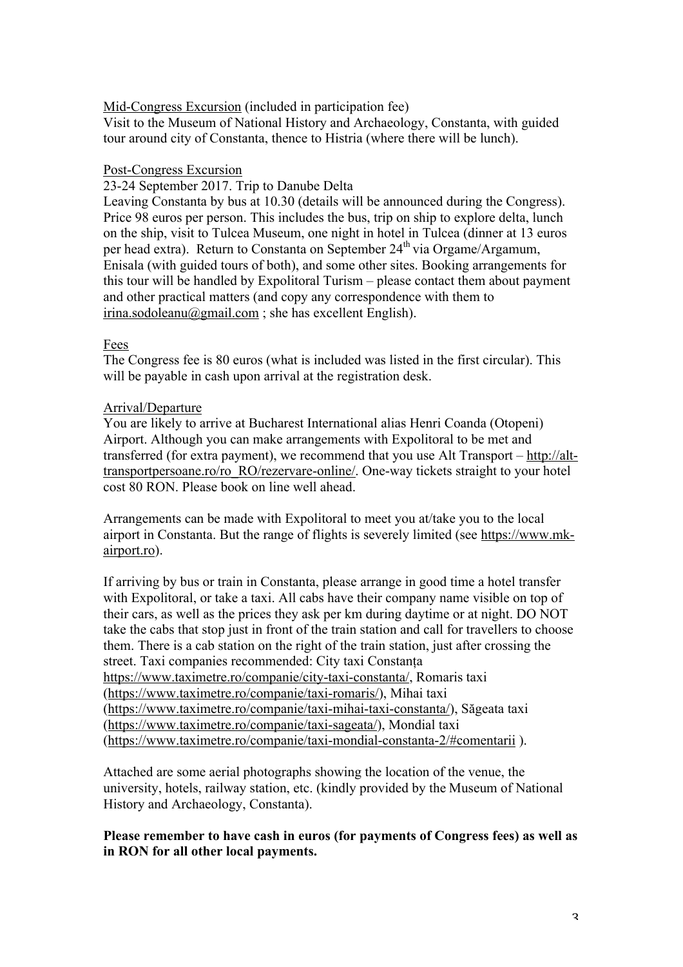Mid-Congress Excursion (included in participation fee)

Visit to the Museum of National History and Archaeology, Constanta, with guided tour around city of Constanta, thence to Histria (where there will be lunch).

### Post-Congress Excursion

23-24 September 2017. Trip to Danube Delta

Leaving Constanta by bus at 10.30 (details will be announced during the Congress). Price 98 euros per person. This includes the bus, trip on ship to explore delta, lunch on the ship, visit to Tulcea Museum, one night in hotel in Tulcea (dinner at 13 euros per head extra). Return to Constanta on September  $24<sup>th</sup>$  via Orgame/Argamum, Enisala (with guided tours of both), and some other sites. Booking arrangements for this tour will be handled by Expolitoral Turism – please contact them about payment and other practical matters (and copy any correspondence with them to  $irina. sodoleanu@gmail.com$ ; she has excellent English).

## Fees

The Congress fee is 80 euros (what is included was listed in the first circular). This will be payable in cash upon arrival at the registration desk.

## Arrival/Departure

You are likely to arrive at Bucharest International alias Henri Coanda (Otopeni) Airport. Although you can make arrangements with Expolitoral to be met and transferred (for extra payment), we recommend that you use Alt Transport – http://alttransportpersoane.ro/ro\_RO/rezervare-online/. One-way tickets straight to your hotel cost 80 RON. Please book on line well ahead.

Arrangements can be made with Expolitoral to meet you at/take you to the local airport in Constanta. But the range of flights is severely limited (see https://www.mkairport.ro).

If arriving by bus or train in Constanta, please arrange in good time a hotel transfer with Expolitoral, or take a taxi. All cabs have their company name visible on top of their cars, as well as the prices they ask per km during daytime or at night. DO NOT take the cabs that stop just in front of the train station and call for travellers to choose them. There is a cab station on the right of the train station, just after crossing the street. Taxi companies recommended: City taxi Constanța https://www.taximetre.ro/companie/city-taxi-constanta/, Romaris taxi (https://www.taximetre.ro/companie/taxi-romaris/), Mihai taxi (https://www.taximetre.ro/companie/taxi-mihai-taxi-constanta/), Săgeata taxi (https://www.taximetre.ro/companie/taxi-sageata/), Mondial taxi (https://www.taximetre.ro/companie/taxi-mondial-constanta-2/#comentarii ).

Attached are some aerial photographs showing the location of the venue, the university, hotels, railway station, etc. (kindly provided by the Museum of National History and Archaeology, Constanta).

## **Please remember to have cash in euros (for payments of Congress fees) as well as in RON for all other local payments.**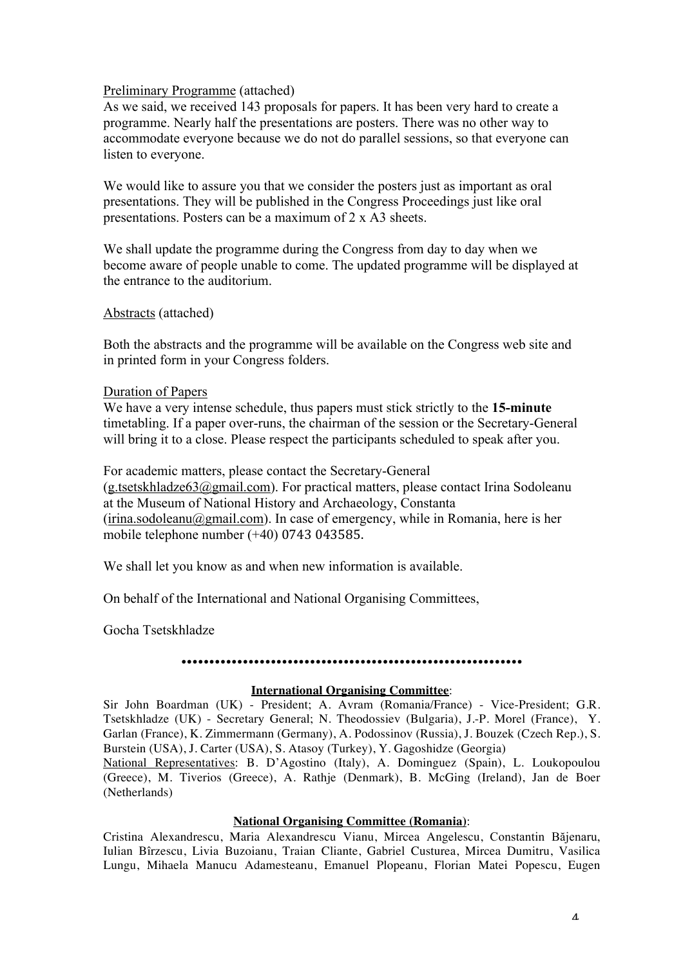#### Preliminary Programme (attached)

As we said, we received 143 proposals for papers. It has been very hard to create a programme. Nearly half the presentations are posters. There was no other way to accommodate everyone because we do not do parallel sessions, so that everyone can listen to everyone.

We would like to assure you that we consider the posters just as important as oral presentations. They will be published in the Congress Proceedings just like oral presentations. Posters can be a maximum of 2 x A3 sheets.

We shall update the programme during the Congress from day to day when we become aware of people unable to come. The updated programme will be displayed at the entrance to the auditorium.

#### Abstracts (attached)

Both the abstracts and the programme will be available on the Congress web site and in printed form in your Congress folders.

#### Duration of Papers

We have a very intense schedule, thus papers must stick strictly to the **15-minute** timetabling. If a paper over-runs, the chairman of the session or the Secretary-General will bring it to a close. Please respect the participants scheduled to speak after you.

For academic matters, please contact the Secretary-General (g.tsetskhladze63@gmail.com). For practical matters, please contact Irina Sodoleanu at the Museum of National History and Archaeology, Constanta  $(irina.sodoleanu@gmail.com)$ . In case of emergency, while in Romania, here is her mobile telephone number  $(+40)$  0743 043585.

We shall let you know as and when new information is available.

On behalf of the International and National Organising Committees,

Gocha Tsetskhladze

#### **•••••••••••••••••••••••••••••••••••••••••••••••••••••••••••••**

#### **International Organising Committee**:

Sir John Boardman (UK) - President; A. Avram (Romania/France) - Vice-President; G.R. Tsetskhladze (UK) - Secretary General; N. Theodossiev (Bulgaria), J.-P. Morel (France), Y. Garlan (France), K. Zimmermann (Germany), A. Podossinov (Russia), J. Bouzek (Czech Rep.), S. Burstein (USA), J. Carter (USA), S. Atasoy (Turkey), Y. Gagoshidze (Georgia)

National Representatives: B. D'Agostino (Italy), A. Dominguez (Spain), L. Loukopoulou (Greece), M. Tiverios (Greece), A. Rathje (Denmark), B. McGing (Ireland), Jan de Boer (Netherlands)

## **National Organising Committee (Romania)**:

Cristina Alexandrescu, Maria Alexandrescu Vianu, Mircea Angelescu, Constantin Băjenaru, Iulian Bîrzescu, Livia Buzoianu, Traian Cliante, Gabriel Custurea, Mircea Dumitru, Vasilica Lungu, Mihaela Manucu Adamesteanu, Emanuel Plopeanu, Florian Matei Popescu, Eugen